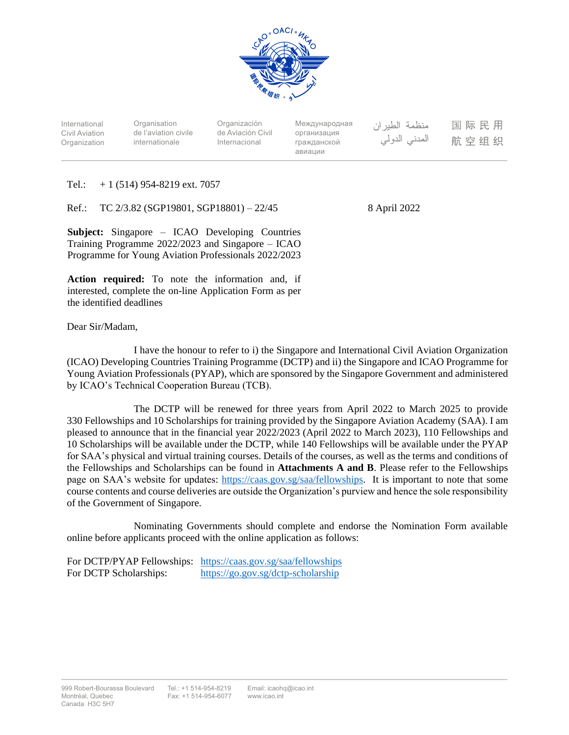

| International<br>Organisation<br>Organización<br>de l'aviation civile<br>de Aviación Civil<br>Civil Aviation<br>internationale<br>Internacional<br>Organization | Международная<br>организация<br>гражданской<br>авиации | منظمة الطبر ان<br>المدني الدولي | 国际民用<br>航空组织 |
|-----------------------------------------------------------------------------------------------------------------------------------------------------------------|--------------------------------------------------------|---------------------------------|--------------|
|-----------------------------------------------------------------------------------------------------------------------------------------------------------------|--------------------------------------------------------|---------------------------------|--------------|

Tel.:  $+1$  (514) 954-8219 ext. 7057

Ref.: TC 2/3.82 (SGP19801, SGP18801) – 22/45 8 April 2022

**Subject:** Singapore – ICAO Developing Countries Training Programme 2022/2023 and Singapore – ICAO Programme for Young Aviation Professionals 2022/2023

**Action required:** To note the information and, if interested, complete the on-line Application Form as per the identified deadlines

Dear Sir/Madam,

I have the honour to refer to i) the Singapore and International Civil Aviation Organization (ICAO) Developing Countries Training Programme (DCTP) and ii) the Singapore and ICAO Programme for Young Aviation Professionals (PYAP), which are sponsored by the Singapore Government and administered by ICAO's Technical Cooperation Bureau (TCB).

The DCTP will be renewed for three years from April 2022 to March 2025 to provide 330 Fellowships and 10 Scholarships for training provided by the Singapore Aviation Academy (SAA). I am pleased to announce that in the financial year 2022/2023 (April 2022 to March 2023), 110 Fellowships and 10 Scholarships will be available under the DCTP, while 140 Fellowships will be available under the PYAP for SAA's physical and virtual training courses. Details of the courses, as well as the terms and conditions of the Fellowships and Scholarships can be found in **Attachments A and B**. Please refer to the Fellowships page on SAA's website for updates: https://caas.gov.sg/saa/fellowships. It is important to note that some course contents and course deliveries are outside the Organization's purview and hence the sole responsibility of the Government of Singapore.

Nominating Governments should complete and endorse the Nomination Form available online before applicants proceed with the online application as follows:

For DCTP/PYAP Fellowships: https://caas.gov.sg/saa/fellowships For DCTP Scholarships: https://go.gov.sg/dctp-scholarship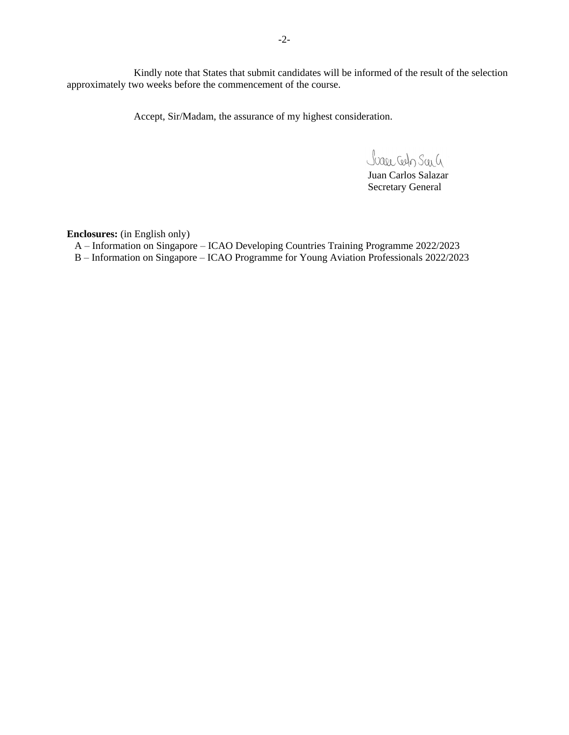Kindly note that States that submit candidates will be informed of the result of the selection approximately two weeks before the commencement of the course.

Accept, Sir/Madam, the assurance of my highest consideration.

Jean Ceeh Sark

Juan Carlos Salazar Secretary General

**Enclosures:** (in English only)

A – Information on Singapore – ICAO Developing Countries Training Programme 2022/2023

B – Information on Singapore – ICAO Programme for Young Aviation Professionals 2022/2023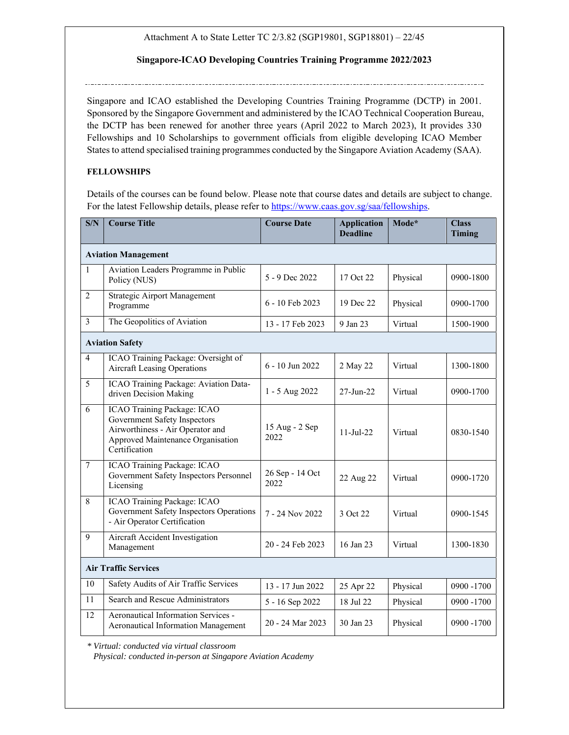Attachment A to State Letter TC 2/3.82 (SGP19801, SGP18801) – 22/45

# **Singapore-ICAO Developing Countries Training Programme 2022/2023**

Singapore and ICAO established the Developing Countries Training Programme (DCTP) in 2001. Sponsored by the Singapore Government and administered by the ICAO Technical Cooperation Bureau, the DCTP has been renewed for another three years (April 2022 to March 2023), It provides 330 Fellowships and 10 Scholarships to government officials from eligible developing ICAO Member States to attend specialised training programmes conducted by the Singapore Aviation Academy (SAA).

# **FELLOWSHIPS**

Details of the courses can be found below. Please note that course dates and details are subject to change. For the latest Fellowship details, please refer to https://www.caas.gov.sg/saa/fellowships.

| S/N            | <b>Course Title</b>                                                                                                                                   | <b>Course Date</b>      | <b>Application</b><br><b>Deadline</b> | Mode*    | <b>Class</b><br><b>Timing</b> |  |
|----------------|-------------------------------------------------------------------------------------------------------------------------------------------------------|-------------------------|---------------------------------------|----------|-------------------------------|--|
|                | <b>Aviation Management</b>                                                                                                                            |                         |                                       |          |                               |  |
| 1              | Aviation Leaders Programme in Public<br>Policy (NUS)                                                                                                  | 5 - 9 Dec 2022          | 17 Oct 22                             | Physical | 0900-1800                     |  |
| $\mathfrak{D}$ | Strategic Airport Management<br>Programme                                                                                                             | 6 - 10 Feb 2023         | 19 Dec 22                             | Physical | 0900-1700                     |  |
| $\overline{3}$ | The Geopolitics of Aviation                                                                                                                           | 13 - 17 Feb 2023        | 9 Jan 23                              | Virtual  | 1500-1900                     |  |
|                | <b>Aviation Safety</b>                                                                                                                                |                         |                                       |          |                               |  |
| $\overline{4}$ | ICAO Training Package: Oversight of<br><b>Aircraft Leasing Operations</b>                                                                             | 6 - 10 Jun 2022         | 2 May 22                              | Virtual  | 1300-1800                     |  |
| 5              | ICAO Training Package: Aviation Data-<br>driven Decision Making                                                                                       | 1 - 5 Aug 2022          | 27-Jun-22                             | Virtual  | 0900-1700                     |  |
| 6              | ICAO Training Package: ICAO<br>Government Safety Inspectors<br>Airworthiness - Air Operator and<br>Approved Maintenance Organisation<br>Certification | 15 Aug - 2 Sep<br>2022  | $11 -$ Jul $-22$                      | Virtual  | 0830-1540                     |  |
| $\tau$         | ICAO Training Package: ICAO<br>Government Safety Inspectors Personnel<br>Licensing                                                                    | 26 Sep - 14 Oct<br>2022 | 22 Aug 22                             | Virtual  | 0900-1720                     |  |
| 8              | ICAO Training Package: ICAO<br>Government Safety Inspectors Operations<br>- Air Operator Certification                                                | 7 - 24 Nov 2022         | 3 Oct 22                              | Virtual  | 0900-1545                     |  |
| 9              | Aircraft Accident Investigation<br>Management                                                                                                         | 20 - 24 Feb 2023        | 16 Jan 23                             | Virtual  | 1300-1830                     |  |
|                | <b>Air Traffic Services</b>                                                                                                                           |                         |                                       |          |                               |  |
| 10             | Safety Audits of Air Traffic Services                                                                                                                 | 13 - 17 Jun 2022        | 25 Apr 22                             | Physical | 0900 -1700                    |  |
| 11             | Search and Rescue Administrators                                                                                                                      | 5 - 16 Sep 2022         | 18 Jul 22                             | Physical | 0900 -1700                    |  |
| 12             | Aeronautical Information Services -<br><b>Aeronautical Information Management</b>                                                                     | 20 - 24 Mar 2023        | 30 Jan 23                             | Physical | 0900 -1700                    |  |

*\* Virtual: conducted via virtual classroom* 

 *Physical: conducted in-person at Singapore Aviation Academy*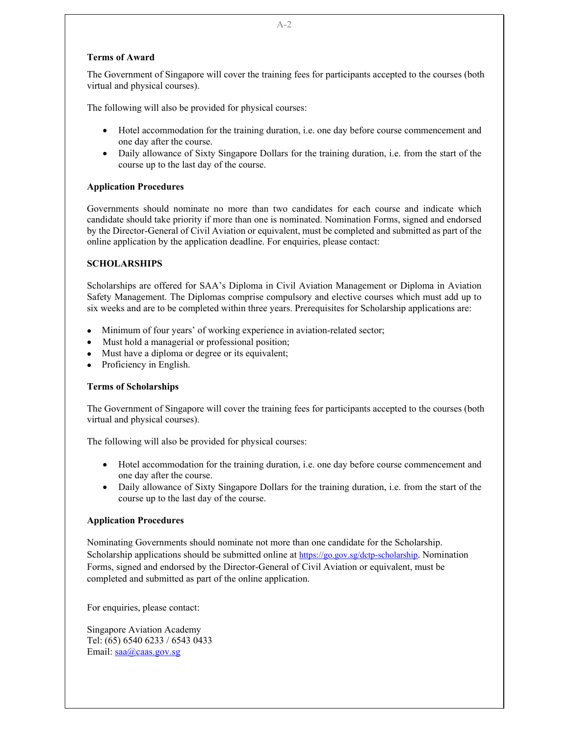#### **Terms of Award**

The Government of Singapore will cover the training fees for participants accepted to the courses (both virtual and physical courses).

The following will also be provided for physical courses:

- Hotel accommodation for the training duration, i.e. one day before course commencement and one day after the course.
- Daily allowance of Sixty Singapore Dollars for the training duration, i.e. from the start of the course up to the last day of the course.

#### **Application Procedures**

Governments should nominate no more than two candidates for each course and indicate which candidate should take priority if more than one is nominated. Nomination Forms, signed and endorsed by the Director-General of Civil Aviation or equivalent, must be completed and submitted as part of the online application by the application deadline. For enquiries, please contact:

#### **SCHOLARSHIPS**

Scholarships are offered for SAA's Diploma in Civil Aviation Management or Diploma in Aviation Safety Management. The Diplomas comprise compulsory and elective courses which must add up to six weeks and are to be completed within three years. Prerequisites for Scholarship applications are:

- Minimum of four years' of working experience in aviation-related sector;
- Must hold a managerial or professional position;
- Must have a diploma or degree or its equivalent;
- Proficiency in English.

#### **Terms of Scholarships**

The Government of Singapore will cover the training fees for participants accepted to the courses (both virtual and physical courses).

The following will also be provided for physical courses:

- Hotel accommodation for the training duration, i.e. one day before course commencement and one day after the course.
- Daily allowance of Sixty Singapore Dollars for the training duration, i.e. from the start of the course up to the last day of the course.

#### **Application Procedures**

Nominating Governments should nominate not more than one candidate for the Scholarship. Scholarship applications should be submitted online at https://go.gov.sg/dctp-scholarship. Nomination Forms, signed and endorsed by the Director-General of Civil Aviation or equivalent, must be completed and submitted as part of the online application.

For enquiries, please contact:

Singapore Aviation Academy Tel: (65) 6540 6233 / 6543 0433 Email: saa@caas.gov.sg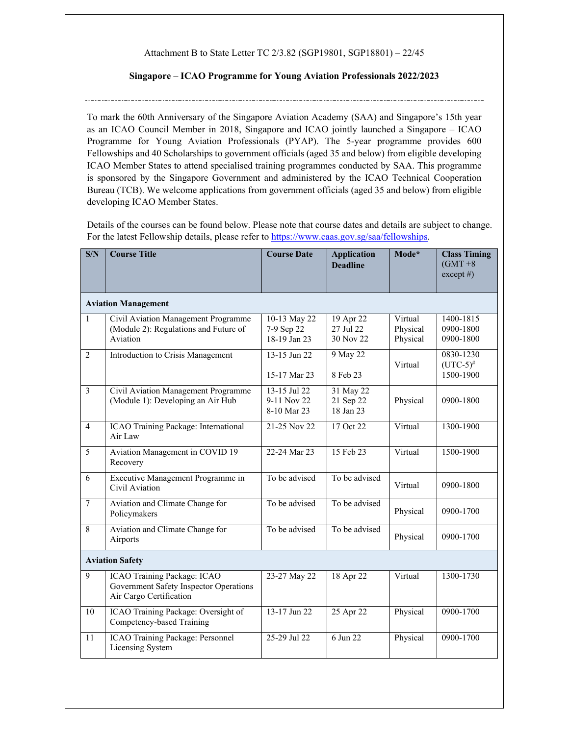## Attachment B to State Letter TC 2/3.82 (SGP19801, SGP18801) – 22/45

#### **Singapore** – **ICAO Programme for Young Aviation Professionals 2022/2023**

To mark the 60th Anniversary of the Singapore Aviation Academy (SAA) and Singapore's 15th year as an ICAO Council Member in 2018, Singapore and ICAO jointly launched a Singapore – ICAO Programme for Young Aviation Professionals (PYAP). The 5-year programme provides 600 Fellowships and 40 Scholarships to government officials (aged 35 and below) from eligible developing ICAO Member States to attend specialised training programmes conducted by SAA. This programme is sponsored by the Singapore Government and administered by the ICAO Technical Cooperation Bureau (TCB). We welcome applications from government officials (aged 35 and below) from eligible developing ICAO Member States.

Details of the courses can be found below. Please note that course dates and details are subject to change. For the latest Fellowship details, please refer to https://www.caas.gov.sg/saa/fellowships.

|                         | <b>Course Title</b>                                                                              | <b>Course Date</b>                         | <b>Application</b><br><b>Deadline</b> | Mode*                           | <b>Class Timing</b><br>$(GMT + 8)$<br>$except$ #) |  |  |
|-------------------------|--------------------------------------------------------------------------------------------------|--------------------------------------------|---------------------------------------|---------------------------------|---------------------------------------------------|--|--|
|                         | <b>Aviation Management</b>                                                                       |                                            |                                       |                                 |                                                   |  |  |
| $\mathbf{1}$            | Civil Aviation Management Programme<br>(Module 2): Regulations and Future of<br>Aviation         | 10-13 May 22<br>7-9 Sep 22<br>18-19 Jan 23 | 19 Apr 22<br>27 Jul 22<br>30 Nov 22   | Virtual<br>Physical<br>Physical | 1400-1815<br>0900-1800<br>0900-1800               |  |  |
| $\overline{2}$          | Introduction to Crisis Management                                                                | 13-15 Jun 22<br>15-17 Mar 23               | 9 May 22<br>8 Feb 23                  | Virtual                         | 0830-1230<br>$(UTC-5)^{\#}$<br>1500-1900          |  |  |
| $\overline{\mathbf{3}}$ | Civil Aviation Management Programme<br>(Module 1): Developing an Air Hub                         | 13-15 Jul 22<br>9-11 Nov 22<br>8-10 Mar 23 | 31 May 22<br>21 Sep 22<br>18 Jan 23   | Physical                        | 0900-1800                                         |  |  |
| $\overline{4}$          | ICAO Training Package: International<br>Air Law                                                  | 21-25 Nov 22                               | 17 Oct 22                             | Virtual                         | 1300-1900                                         |  |  |
| $\overline{5}$          | Aviation Management in COVID 19<br>Recovery                                                      | 22-24 Mar 23                               | 15 Feb 23                             | Virtual                         | 1500-1900                                         |  |  |
| 6                       | Executive Management Programme in<br>Civil Aviation                                              | To be advised                              | To be advised                         | Virtual                         | 0900-1800                                         |  |  |
| $\overline{7}$          | Aviation and Climate Change for<br>Policymakers                                                  | To be advised                              | To be advised                         | Physical                        | 0900-1700                                         |  |  |
| 8                       | Aviation and Climate Change for<br>Airports                                                      | To be advised                              | To be advised                         | Physical                        | 0900-1700                                         |  |  |
|                         | <b>Aviation Safety</b>                                                                           |                                            |                                       |                                 |                                                   |  |  |
| 9                       | ICAO Training Package: ICAO<br>Government Safety Inspector Operations<br>Air Cargo Certification | 23-27 May 22                               | 18 Apr 22                             | Virtual                         | 1300-1730                                         |  |  |
| 10                      | ICAO Training Package: Oversight of<br>Competency-based Training                                 | 13-17 Jun 22                               | 25 Apr 22                             | Physical                        | 0900-1700                                         |  |  |
| 11                      | ICAO Training Package: Personnel<br>Licensing System                                             | 25-29 Jul 22                               | 6 Jun 22                              | Physical                        | 0900-1700                                         |  |  |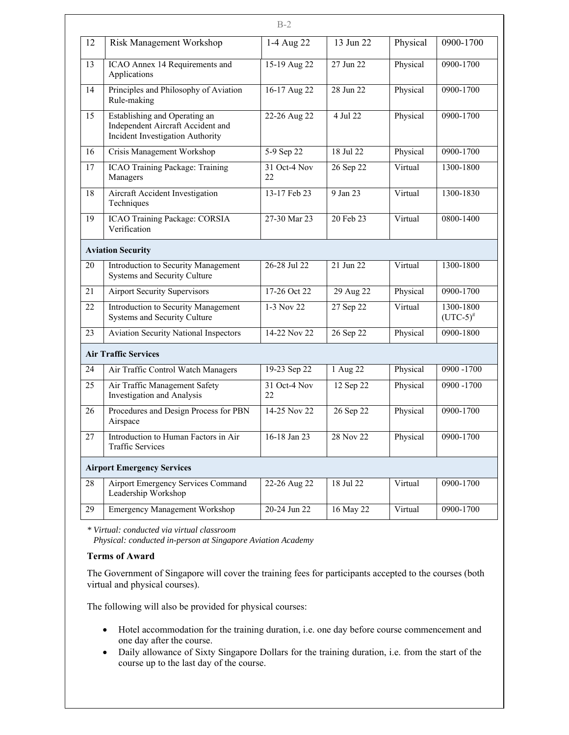|    |                                                                                                        | $B-2$              |           |          |                            |  |
|----|--------------------------------------------------------------------------------------------------------|--------------------|-----------|----------|----------------------------|--|
| 12 | Risk Management Workshop                                                                               | 1-4 Aug 22         | 13 Jun 22 | Physical | 0900-1700                  |  |
| 13 | ICAO Annex 14 Requirements and<br>Applications                                                         | 15-19 Aug 22       | 27 Jun 22 | Physical | 0900-1700                  |  |
| 14 | Principles and Philosophy of Aviation<br>Rule-making                                                   | 16-17 Aug 22       | 28 Jun 22 | Physical | 0900-1700                  |  |
| 15 | Establishing and Operating an<br>Independent Aircraft Accident and<br>Incident Investigation Authority | 22-26 Aug 22       | 4 Jul 22  | Physical | 0900-1700                  |  |
| 16 | Crisis Management Workshop                                                                             | 5-9 Sep 22         | 18 Jul 22 | Physical | 0900-1700                  |  |
| 17 | ICAO Training Package: Training<br>Managers                                                            | 31 Oct-4 Nov<br>22 | 26 Sep 22 | Virtual  | 1300-1800                  |  |
| 18 | Aircraft Accident Investigation<br>Techniques                                                          | 13-17 Feb 23       | 9 Jan 23  | Virtual  | 1300-1830                  |  |
| 19 | ICAO Training Package: CORSIA<br>Verification                                                          | 27-30 Mar 23       | 20 Feb 23 | Virtual  | 0800-1400                  |  |
|    | <b>Aviation Security</b>                                                                               |                    |           |          |                            |  |
| 20 | Introduction to Security Management<br>Systems and Security Culture                                    | 26-28 Jul 22       | 21 Jun 22 | Virtual  | 1300-1800                  |  |
| 21 | <b>Airport Security Supervisors</b>                                                                    | 17-26 Oct 22       | 29 Aug 22 | Physical | 0900-1700                  |  |
| 22 | Introduction to Security Management<br>Systems and Security Culture                                    | 1-3 Nov 22         | 27 Sep 22 | Virtual  | 1300-1800<br>$(UTC-5)^{#}$ |  |
| 23 | Aviation Security National Inspectors                                                                  | 14-22 Nov 22       | 26 Sep 22 | Physical | 0900-1800                  |  |
|    | <b>Air Traffic Services</b>                                                                            |                    |           |          |                            |  |
| 24 | Air Traffic Control Watch Managers                                                                     | 19-23 Sep 22       | 1 Aug 22  | Physical | 0900 -1700                 |  |
| 25 | Air Traffic Management Safety<br>Investigation and Analysis                                            | 31 Oct-4 Nov<br>22 | 12 Sep 22 | Physical | 0900 -1700                 |  |
| 26 | Procedures and Design Process for PBN<br>Airspace                                                      | 14-25 Nov 22       | 26 Sep 22 | Physical | 0900-1700                  |  |
| 27 | Introduction to Human Factors in Air<br><b>Traffic Services</b>                                        | 16-18 Jan 23       | 28 Nov 22 | Physical | 0900-1700                  |  |
|    | <b>Airport Emergency Services</b>                                                                      |                    |           |          |                            |  |
| 28 | Airport Emergency Services Command<br>Leadership Workshop                                              | 22-26 Aug 22       | 18 Jul 22 | Virtual  | 0900-1700                  |  |
| 29 | <b>Emergency Management Workshop</b>                                                                   | 20-24 Jun 22       | 16 May 22 | Virtual  | 0900-1700                  |  |

*\* Virtual: conducted via virtual classroom Physical: conducted in-person at Singapore Aviation Academy*

# **Terms of Award**

The Government of Singapore will cover the training fees for participants accepted to the courses (both virtual and physical courses).

The following will also be provided for physical courses:

- Hotel accommodation for the training duration, i.e. one day before course commencement and one day after the course.
- Daily allowance of Sixty Singapore Dollars for the training duration, i.e. from the start of the course up to the last day of the course.